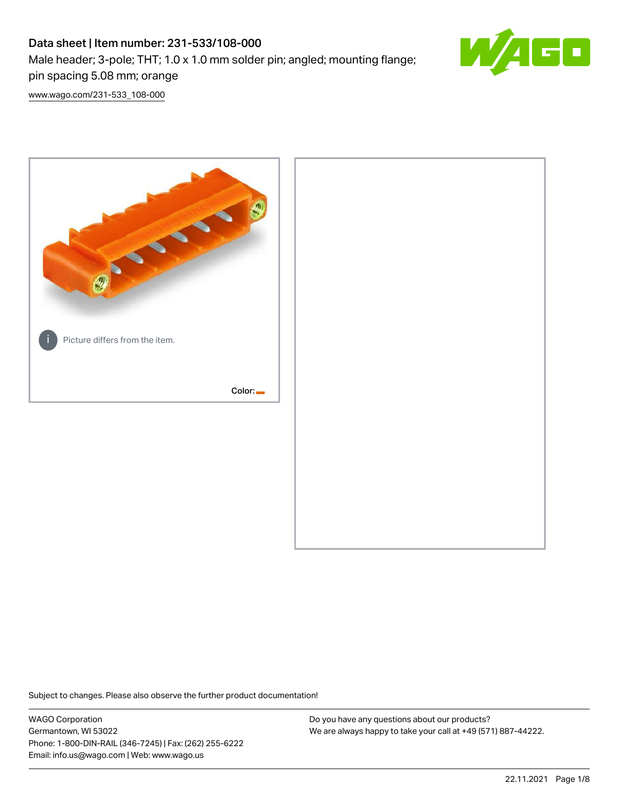# Data sheet | Item number: 231-533/108-000 Male header; 3-pole; THT; 1.0 x 1.0 mm solder pin; angled; mounting flange; pin spacing 5.08 mm; orange



[www.wago.com/231-533\\_108-000](http://www.wago.com/231-533_108-000)



Subject to changes. Please also observe the further product documentation!

WAGO Corporation Germantown, WI 53022 Phone: 1-800-DIN-RAIL (346-7245) | Fax: (262) 255-6222 Email: info.us@wago.com | Web: www.wago.us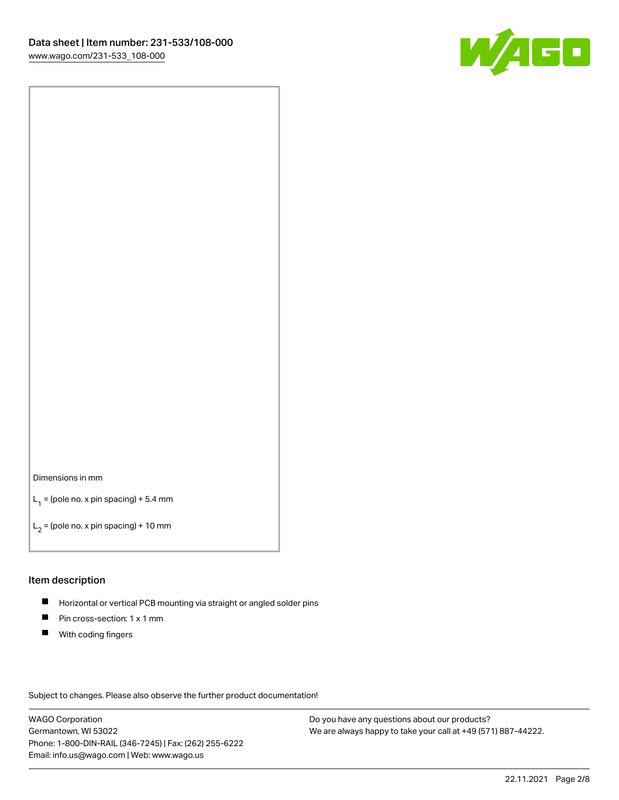

#### Dimensions in mm

 $L_1$  = (pole no. x pin spacing) + 5.4 mm

 $L_2$  = (pole no. x pin spacing) + 10 mm

#### Item description

- $\blacksquare$ Horizontal or vertical PCB mounting via straight or angled solder pins
- $\blacksquare$ Pin cross-section: 1 x 1 mm
- $\blacksquare$ With coding fingers

Subject to changes. Please also observe the further product documentation!

WAGO Corporation Germantown, WI 53022 Phone: 1-800-DIN-RAIL (346-7245) | Fax: (262) 255-6222 Email: info.us@wago.com | Web: www.wago.us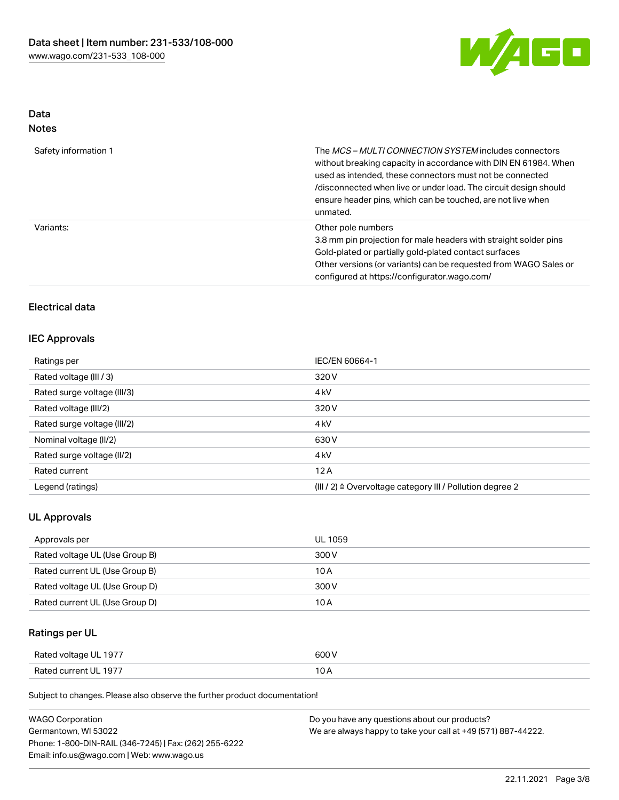

## Data Notes

| Safety information 1 | The <i>MCS – MULTI CONNECTION SYSTEM</i> includes connectors<br>without breaking capacity in accordance with DIN EN 61984. When<br>used as intended, these connectors must not be connected<br>/disconnected when live or under load. The circuit design should<br>ensure header pins, which can be touched, are not live when<br>unmated. |
|----------------------|--------------------------------------------------------------------------------------------------------------------------------------------------------------------------------------------------------------------------------------------------------------------------------------------------------------------------------------------|
| Variants:            | Other pole numbers<br>3.8 mm pin projection for male headers with straight solder pins<br>Gold-plated or partially gold-plated contact surfaces<br>Other versions (or variants) can be requested from WAGO Sales or<br>configured at https://configurator.wago.com/                                                                        |

## Electrical data

## IEC Approvals

| Ratings per                 | IEC/EN 60664-1                                            |
|-----------------------------|-----------------------------------------------------------|
| Rated voltage (III / 3)     | 320 V                                                     |
| Rated surge voltage (III/3) | 4 <sub>kV</sub>                                           |
| Rated voltage (III/2)       | 320 V                                                     |
| Rated surge voltage (III/2) | 4 <sub>kV</sub>                                           |
| Nominal voltage (II/2)      | 630 V                                                     |
| Rated surge voltage (II/2)  | 4 <sub>kV</sub>                                           |
| Rated current               | 12A                                                       |
| Legend (ratings)            | (III / 2) ≙ Overvoltage category III / Pollution degree 2 |

## UL Approvals

| Approvals per                  | UL 1059 |
|--------------------------------|---------|
| Rated voltage UL (Use Group B) | 300 V   |
| Rated current UL (Use Group B) | 10 A    |
| Rated voltage UL (Use Group D) | 300 V   |
| Rated current UL (Use Group D) | 10 A    |

## Ratings per UL

| Rated voltage UL 1977 | 600 V |
|-----------------------|-------|
| Rated current UL 1977 |       |

Subject to changes. Please also observe the further product documentation!

| <b>WAGO Corporation</b>                                | Do you have any questions about our products?                 |
|--------------------------------------------------------|---------------------------------------------------------------|
| Germantown, WI 53022                                   | We are always happy to take your call at +49 (571) 887-44222. |
| Phone: 1-800-DIN-RAIL (346-7245)   Fax: (262) 255-6222 |                                                               |
| Email: info.us@wago.com   Web: www.wago.us             |                                                               |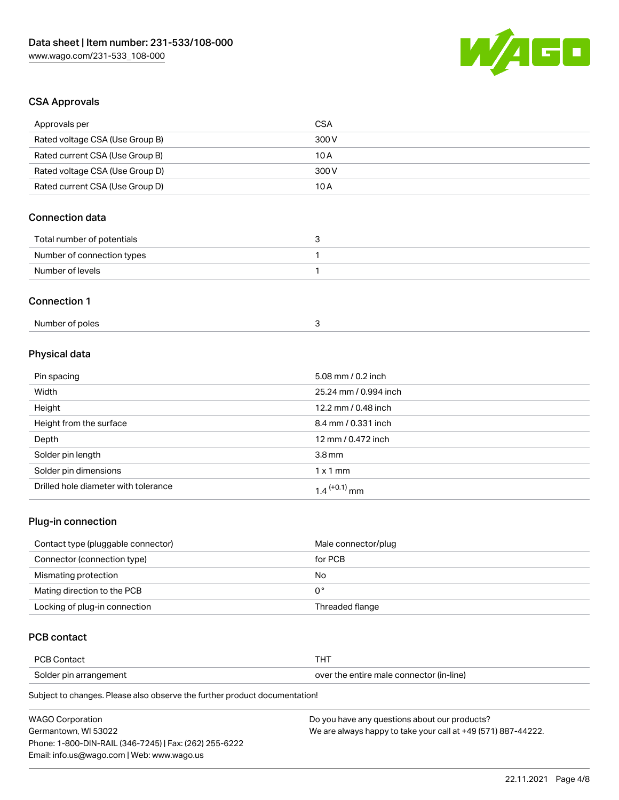

### CSA Approvals

| Approvals per                   | <b>CSA</b>            |
|---------------------------------|-----------------------|
| Rated voltage CSA (Use Group B) | 300 V                 |
| Rated current CSA (Use Group B) | 10A                   |
| Rated voltage CSA (Use Group D) | 300 V                 |
| Rated current CSA (Use Group D) | 10 A                  |
| <b>Connection data</b>          |                       |
| Total number of potentials      | 3                     |
| Number of connection types      | $\mathbf{1}$          |
| Number of levels                | $\mathbf{1}$          |
| <b>Connection 1</b>             |                       |
| Number of poles                 | 3                     |
| Physical data                   |                       |
| Pin spacing                     | 5.08 mm / 0.2 inch    |
| Width                           | 25.24 mm / 0.994 inch |
| Height                          | 12.2 mm / 0.48 inch   |
|                                 |                       |

| Pin spacing                          | 5.08 mm / 0.2 inch         |
|--------------------------------------|----------------------------|
| Width                                | 25.24 mm / 0.994 inch      |
| Height                               | 12.2 mm / 0.48 inch        |
| Height from the surface              | 8.4 mm / 0.331 inch        |
| Depth                                | 12 mm / 0.472 inch         |
| Solder pin length                    | $3.8 \,\mathrm{mm}$        |
| Solder pin dimensions                | $1 \times 1$ mm            |
| Drilled hole diameter with tolerance | $1.4$ <sup>(+0.1)</sup> mm |

## Plug-in connection

| Contact type (pluggable connector) | Male connector/plug |
|------------------------------------|---------------------|
| Connector (connection type)        | for PCB             |
| Mismating protection               | No                  |
| Mating direction to the PCB        | ∩°                  |
| Locking of plug-in connection      | Threaded flange     |

## PCB contact

| PCB Contact            |                                          |
|------------------------|------------------------------------------|
| Solder pin arrangement | over the entire male connector (in-line) |

Subject to changes. Please also observe the further product documentation!

| <b>WAGO Corporation</b>                                | Do you have any questions about our products?                 |
|--------------------------------------------------------|---------------------------------------------------------------|
| Germantown, WI 53022                                   | We are always happy to take your call at +49 (571) 887-44222. |
| Phone: 1-800-DIN-RAIL (346-7245)   Fax: (262) 255-6222 |                                                               |
| Email: info.us@wago.com   Web: www.wago.us             |                                                               |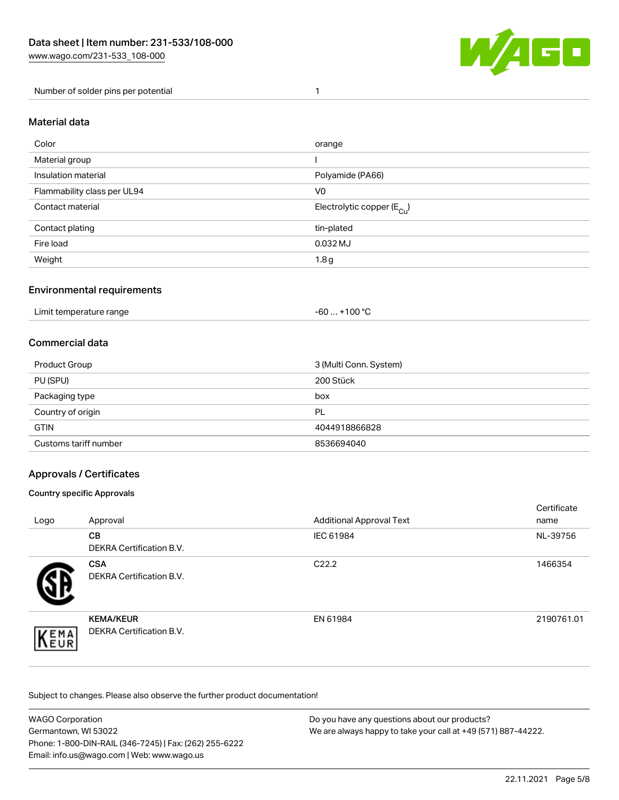

#### Number of solder pins per potential 1

#### Material data

| Color                       | orange                                 |
|-----------------------------|----------------------------------------|
| Material group              |                                        |
| Insulation material         | Polyamide (PA66)                       |
| Flammability class per UL94 | V <sub>0</sub>                         |
| Contact material            | Electrolytic copper (E <sub>Cu</sub> ) |
| Contact plating             | tin-plated                             |
| Fire load                   | 0.032 MJ                               |
| Weight                      | 1.8 <sub>g</sub>                       |

### Environmental requirements

Limit temperature range  $-60...+100 °C$ 

#### Commercial data

| Product Group         | 3 (Multi Conn. System) |
|-----------------------|------------------------|
| PU (SPU)              | 200 Stück              |
| Packaging type        | box                    |
| Country of origin     | PL                     |
| <b>GTIN</b>           | 4044918866828          |
| Customs tariff number | 8536694040             |

### Approvals / Certificates

#### Country specific Approvals

| Logo               | Approval                                            | <b>Additional Approval Text</b> | Certificate<br>name |
|--------------------|-----------------------------------------------------|---------------------------------|---------------------|
|                    | <b>CB</b><br><b>DEKRA Certification B.V.</b>        | IEC 61984                       | NL-39756            |
|                    | <b>CSA</b><br>DEKRA Certification B.V.              | C <sub>22.2</sub>               | 1466354             |
| EMA<br><b>NEUR</b> | <b>KEMA/KEUR</b><br><b>DEKRA Certification B.V.</b> | EN 61984                        | 2190761.01          |

Subject to changes. Please also observe the further product documentation!

| <b>WAGO Corporation</b>                                | Do you have any questions about our products?                 |  |
|--------------------------------------------------------|---------------------------------------------------------------|--|
| Germantown, WI 53022                                   | We are always happy to take your call at +49 (571) 887-44222. |  |
| Phone: 1-800-DIN-RAIL (346-7245)   Fax: (262) 255-6222 |                                                               |  |
| Email: info.us@wago.com   Web: www.wago.us             |                                                               |  |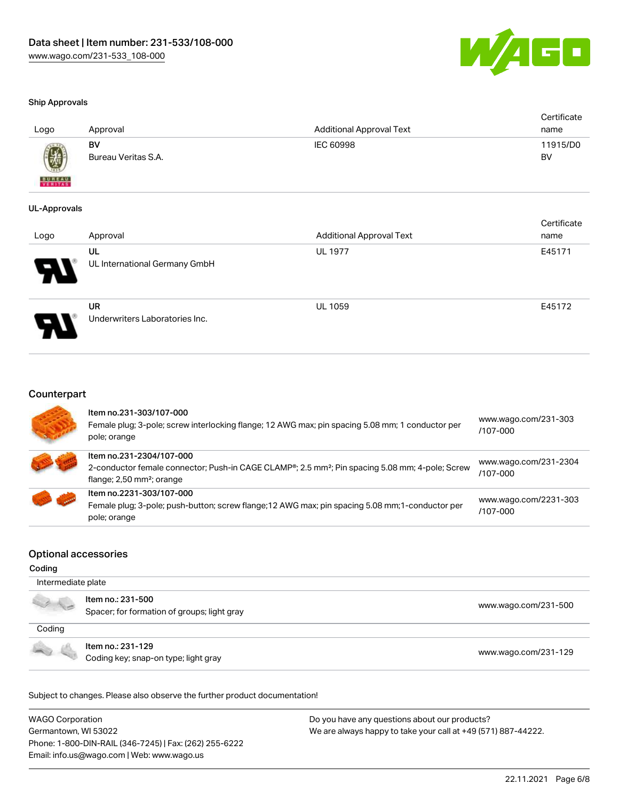

#### Ship Approvals

| Logo                     | Approval                  | <b>Additional Approval Text</b> | Certificate<br>name |
|--------------------------|---------------------------|---------------------------------|---------------------|
| 9                        | BV<br>Bureau Veritas S.A. | IEC 60998                       | 11915/D0<br>BV      |
| <b>BUREAU</b><br>VERITAS |                           |                                 |                     |

#### UL-Approvals

| Logo | Approval                                    | <b>Additional Approval Text</b> | Certificate<br>name |
|------|---------------------------------------------|---------------------------------|---------------------|
| 8    | UL<br>UL International Germany GmbH         | <b>UL 1977</b>                  | E45171              |
| J    | <b>UR</b><br>Underwriters Laboratories Inc. | <b>UL 1059</b>                  | E45172              |

#### Counterpart

| Item no.231-303/107-000<br>Female plug; 3-pole; screw interlocking flange; 12 AWG max; pin spacing 5.08 mm; 1 conductor per<br>pole; orange                                        | www.wago.com/231-303<br>/107-000  |
|------------------------------------------------------------------------------------------------------------------------------------------------------------------------------------|-----------------------------------|
| Item no.231-2304/107-000<br>2-conductor female connector; Push-in CAGE CLAMP®; 2.5 mm <sup>2</sup> ; Pin spacing 5.08 mm; 4-pole; Screw<br>flange; $2,50$ mm <sup>2</sup> ; orange | www.wago.com/231-2304<br>/107-000 |
| Item no.2231-303/107-000<br>Female plug; 3-pole; push-button; screw flange; 12 AWG max; pin spacing 5.08 mm; 1-conductor per<br>pole; orange                                       | www.wago.com/2231-303<br>/107-000 |

#### Optional accessories

#### Coding

| Intermediate plate |                                                                  |                      |  |
|--------------------|------------------------------------------------------------------|----------------------|--|
|                    | Item no.: 231-500<br>Spacer; for formation of groups; light gray | www.wago.com/231-500 |  |
| Coding             |                                                                  |                      |  |
|                    | Item no.: 231-129<br>Coding key; snap-on type; light gray        | www.wago.com/231-129 |  |

Subject to changes. Please also observe the further product documentation!

WAGO Corporation Germantown, WI 53022 Phone: 1-800-DIN-RAIL (346-7245) | Fax: (262) 255-6222 Email: info.us@wago.com | Web: www.wago.us Do you have any questions about our products? We are always happy to take your call at +49 (571) 887-44222.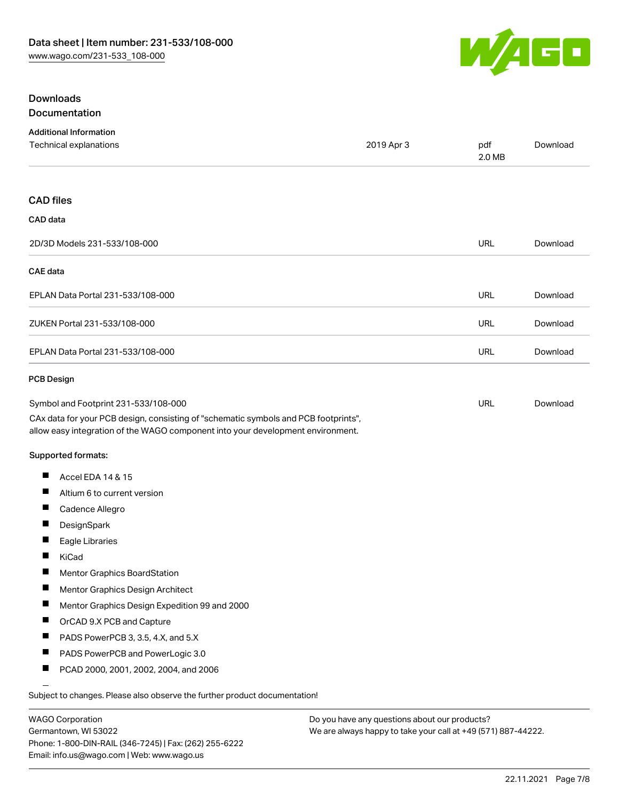

#### Downloads Documentation

|  |  |  | Documentation |  |  |
|--|--|--|---------------|--|--|
|  |  |  |               |  |  |

| <b>Additional Information</b><br>Technical explanations                                                                                                                | 2019 Apr 3 | pdf<br>2.0 MB | Download |
|------------------------------------------------------------------------------------------------------------------------------------------------------------------------|------------|---------------|----------|
|                                                                                                                                                                        |            |               |          |
| <b>CAD files</b>                                                                                                                                                       |            |               |          |
| CAD data                                                                                                                                                               |            |               |          |
| 2D/3D Models 231-533/108-000                                                                                                                                           |            | <b>URL</b>    | Download |
| <b>CAE</b> data                                                                                                                                                        |            |               |          |
| EPLAN Data Portal 231-533/108-000                                                                                                                                      |            | <b>URL</b>    | Download |
| ZUKEN Portal 231-533/108-000                                                                                                                                           |            | <b>URL</b>    | Download |
| EPLAN Data Portal 231-533/108-000                                                                                                                                      |            | URL           | Download |
| <b>PCB Design</b>                                                                                                                                                      |            |               |          |
| Symbol and Footprint 231-533/108-000                                                                                                                                   |            | URL           | Download |
| CAx data for your PCB design, consisting of "schematic symbols and PCB footprints",<br>allow easy integration of the WAGO component into your development environment. |            |               |          |
| Supported formats:                                                                                                                                                     |            |               |          |
| Accel EDA 14 & 15<br>ш                                                                                                                                                 |            |               |          |
| ш<br>Altium 6 to current version                                                                                                                                       |            |               |          |
| Cadence Allegro                                                                                                                                                        |            |               |          |
| $\blacksquare$<br>DesignSpark                                                                                                                                          |            |               |          |
| $\blacksquare$<br>Eagle Libraries                                                                                                                                      |            |               |          |
| KiCad                                                                                                                                                                  |            |               |          |
| H<br>Mentor Graphics BoardStation                                                                                                                                      |            |               |          |
| Mentor Graphics Design Architect<br>ш                                                                                                                                  |            |               |          |
| Mentor Graphics Design Expedition 99 and 2000                                                                                                                          |            |               |          |
| OrCAD 9.X PCB and Capture<br>Ш                                                                                                                                         |            |               |          |
| PADS PowerPCB 3, 3.5, 4.X, and 5.X                                                                                                                                     |            |               |          |
| ш<br>PADS PowerPCB and PowerLogic 3.0                                                                                                                                  |            |               |          |
| PCAD 2000, 2001, 2002, 2004, and 2006<br>ш                                                                                                                             |            |               |          |
| Subject to changes. Please also observe the further product documentation!                                                                                             |            |               |          |